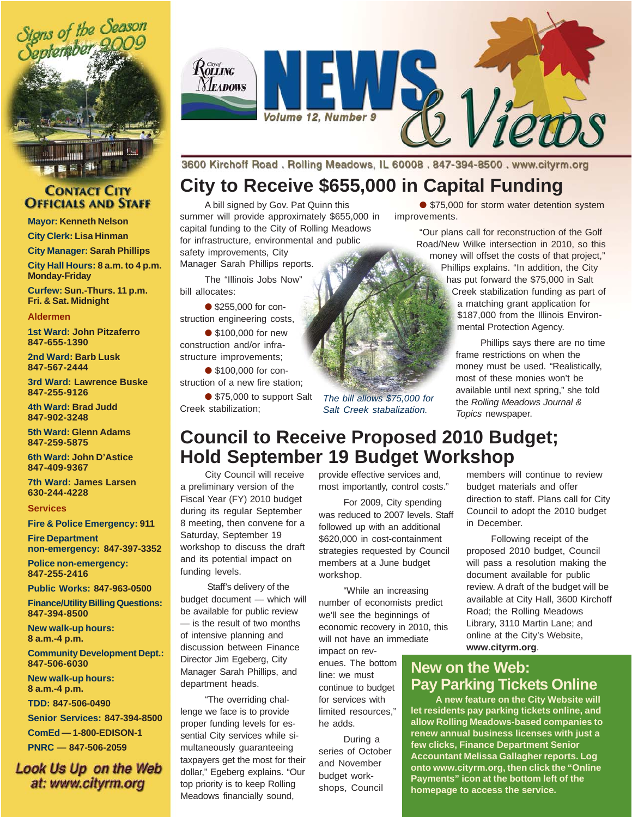

#### **CONTACT CITY OFFICIALS AND STAFF**

**Mayor: Kenneth Nelson**

**City Clerk: Lisa Hinman**

**City Manager: Sarah Phillips City Hall Hours: 8 a.m. to 4 p.m. Monday-Friday**

**Curfew: Sun.-Thurs. 11 p.m. Fri. & Sat. Midnight**

#### **Aldermen**

**1st Ward: John Pitzaferro 847-655-1390**

**2nd Ward: Barb Lusk 847-567-2444**

**3rd Ward: Lawrence Buske 847-255-9126**

**4th Ward: Brad Judd 847-902-3248**

**5th Ward: Glenn Adams 847-259-5875**

**6th Ward: John D'Astice 847-409-9367**

**7th Ward: James Larsen 630-244-4228**

#### **Services**

**Fire & Police Emergency: 911**

**Fire Department non-emergency: 847-397-3352**

**Police non-emergency: 847-255-2416**

**Public Works: 847-963-0500**

**Finance/Utility Billing Questions: 847-394-8500**

**New walk-up hours: 8 a.m.-4 p.m.**

**Community Development Dept.: 847-506-6030**

**New walk-up hours: 8 a.m.-4 p.m.**

**TDD: 847-506-0490**

**Senior Services: 847-394-8500 ComEd — 1-800-EDISON-1 PNRC — 847-506-2059**

Look Us Up on the Web at: www.cityrm.org



3600 Kirchoff Road. Rolling Meadows, IL 60008. 847-394-8500. www.cityrm.org

### **City to Receive \$655,000 in Capital Funding**

A bill signed by Gov. Pat Quinn this summer will provide approximately \$655,000 in capital funding to the City of Rolling Meadows for infrastructure, environmental and public safety improvements, City

Manager Sarah Phillips reports.

The "Illinois Jobs Now" bill allocates:

● \$255,000 for construction engineering costs,

● \$100,000 for new construction and/or infrastructure improvements;

● \$100,000 for construction of a new fire station;

● \$75,000 to support Salt Creek stabilization;

*The bill allows \$75,000 for*

● \$75,000 for storm water detention system improvements.

> "Our plans call for reconstruction of the Golf Road/New Wilke intersection in 2010, so this money will offset the costs of that project," Phillips explains. "In addition, the City has put forward the \$75,000 in Salt

Creek stabilization funding as part of a matching grant application for \$187,000 from the Illinois Environmental Protection Agency.

Phillips says there are no time frame restrictions on when the money must be used. "Realistically, most of these monies won't be available until next spring," she told the *Rolling Meadows Journal & Topics* newspaper.

# **Council to Receive Proposed 2010 Budget; Hold September 19 Budget Workshop**

City Council will receive a preliminary version of the Fiscal Year (FY) 2010 budget during its regular September 8 meeting, then convene for a Saturday, September 19 workshop to discuss the draft and its potential impact on funding levels.

 Staff's delivery of the budget document — which will be available for public review — is the result of two months of intensive planning and discussion between Finance Director Jim Egeberg, City Manager Sarah Phillips, and department heads.

"The overriding challenge we face is to provide proper funding levels for essential City services while simultaneously guaranteeing taxpayers get the most for their dollar," Egeberg explains. "Our top priority is to keep Rolling Meadows financially sound,

provide effective services and, most importantly, control costs."

For 2009, City spending was reduced to 2007 levels. Staff followed up with an additional \$620,000 in cost-containment strategies requested by Council members at a June budget workshop.

"While an increasing number of economists predict we'll see the beginnings of economic recovery in 2010, this will not have an immediate

impact on revenues. The bottom line: we must continue to budget for services with limited resources," he adds.

During a series of October and November budget workshops, Council

members will continue to review budget materials and offer direction to staff. Plans call for City Council to adopt the 2010 budget in December.

Following receipt of the proposed 2010 budget, Council will pass a resolution making the document available for public review. A draft of the budget will be available at City Hall, 3600 Kirchoff Road; the Rolling Meadows Library, 3110 Martin Lane; and online at the City's Website, **www.cityrm.org**.

### **New on the Web: Pay Parking Tickets Online**

**A new feature on the City Website will let residents pay parking tickets online, and allow Rolling Meadows-based companies to renew annual business licenses with just a few clicks, Finance Department Senior Accountant Melissa Gallagher reports. Log onto www.cityrm.org, then click the "Online Payments" icon at the bottom left of the homepage to access the service.**



*Salt Creek stabalization.*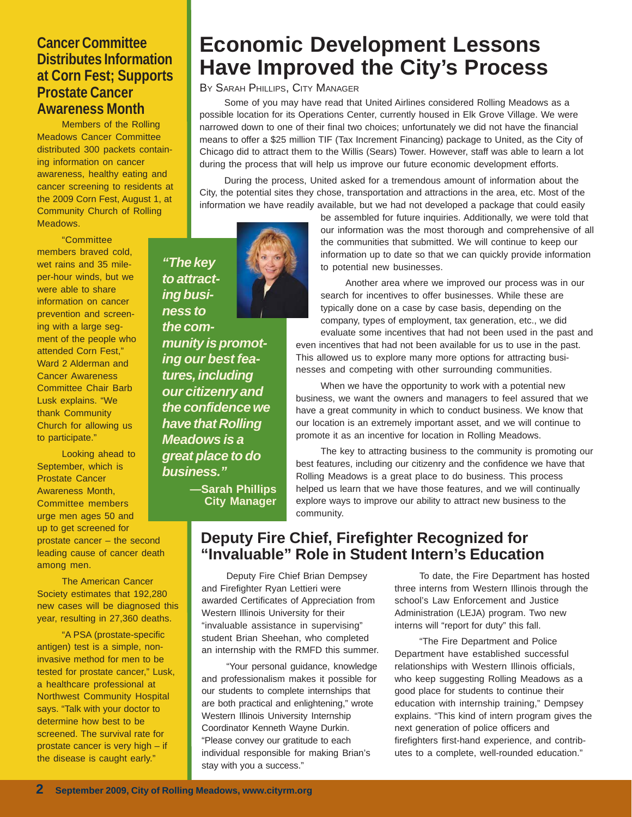#### **Cancer Committee Distributes Information at Corn Fest; Supports Prostate Cancer Awareness Month**

Members of the Rolling Meadows Cancer Committee distributed 300 packets containing information on cancer awareness, healthy eating and cancer screening to residents at the 2009 Corn Fest, August 1, at Community Church of Rolling Meadows.

"Committee members braved cold, wet rains and 35 mileper-hour winds, but we were able to share information on cancer prevention and screening with a large segment of the people who attended Corn Fest," Ward 2 Alderman and Cancer Awareness Committee Chair Barb Lusk explains. "We thank Community Church for allowing us to participate."

Looking ahead to September, which is Prostate Cancer Awareness Month, Committee members urge men ages 50 and up to get screened for prostate cancer – the second leading cause of cancer death among men.

The American Cancer Society estimates that 192,280 new cases will be diagnosed this year, resulting in 27,360 deaths.

"A PSA (prostate-specific antigen) test is a simple, noninvasive method for men to be tested for prostate cancer," Lusk, a healthcare professional at Northwest Community Hospital says. "Talk with your doctor to determine how best to be screened. The survival rate for prostate cancer is very high – if the disease is caught early."

**Economic Development Lessons Have Improved the City's Process**

BY SARAH PHILLIPS, CITY MANAGER

Some of you may have read that United Airlines considered Rolling Meadows as a possible location for its Operations Center, currently housed in Elk Grove Village. We were narrowed down to one of their final two choices; unfortunately we did not have the financial means to offer a \$25 million TIF (Tax Increment Financing) package to United, as the City of Chicago did to attract them to the Willis (Sears) Tower. However, staff was able to learn a lot during the process that will help us improve our future economic development efforts.

During the process, United asked for a tremendous amount of information about the City, the potential sites they chose, transportation and attractions in the area, etc. Most of the information we have readily available, but we had not developed a package that could easily

> be assembled for future inquiries. Additionally, we were told that our information was the most thorough and comprehensive of all the communities that submitted. We will continue to keep our information up to date so that we can quickly provide information to potential new businesses.

Another area where we improved our process was in our search for incentives to offer businesses. While these are typically done on a case by case basis, depending on the company, types of employment, tax generation, etc., we did evaluate some incentives that had not been used in the past and even incentives that had not been available for us to use in the past. This allowed us to explore many more options for attracting busi-

nesses and competing with other surrounding communities. When we have the opportunity to work with a potential new business, we want the owners and managers to feel assured that we have a great community in which to conduct business. We know that our location is an extremely important asset, and we will continue to

promote it as an incentive for location in Rolling Meadows.

The key to attracting business to the community is promoting our best features, including our citizenry and the confidence we have that Rolling Meadows is a great place to do business. This process helped us learn that we have those features, and we will continually explore ways to improve our ability to attract new business to the community.

### **Deputy Fire Chief, Firefighter Recognized for "Invaluable" Role in Student Intern's Education**

Deputy Fire Chief Brian Dempsey and Firefighter Ryan Lettieri were awarded Certificates of Appreciation from Western Illinois University for their "invaluable assistance in supervising" student Brian Sheehan, who completed an internship with the RMFD this summer.

"Your personal guidance, knowledge and professionalism makes it possible for our students to complete internships that are both practical and enlightening," wrote Western Illinois University Internship Coordinator Kenneth Wayne Durkin. "Please convey our gratitude to each individual responsible for making Brian's stay with you a success."

To date, the Fire Department has hosted three interns from Western Illinois through the school's Law Enforcement and Justice Administration (LEJA) program. Two new interns will "report for duty" this fall.

"The Fire Department and Police Department have established successful relationships with Western Illinois officials, who keep suggesting Rolling Meadows as a good place for students to continue their education with internship training," Dempsey explains. "This kind of intern program gives the next generation of police officers and firefighters first-hand experience, and contributes to a complete, well-rounded education."

*"The key to attracting business to the community is promoting our best features, including our citizenry and the confidence we have that Rolling Meadows is a great place to do*

*business."*

**—Sarah Phillips City Manager**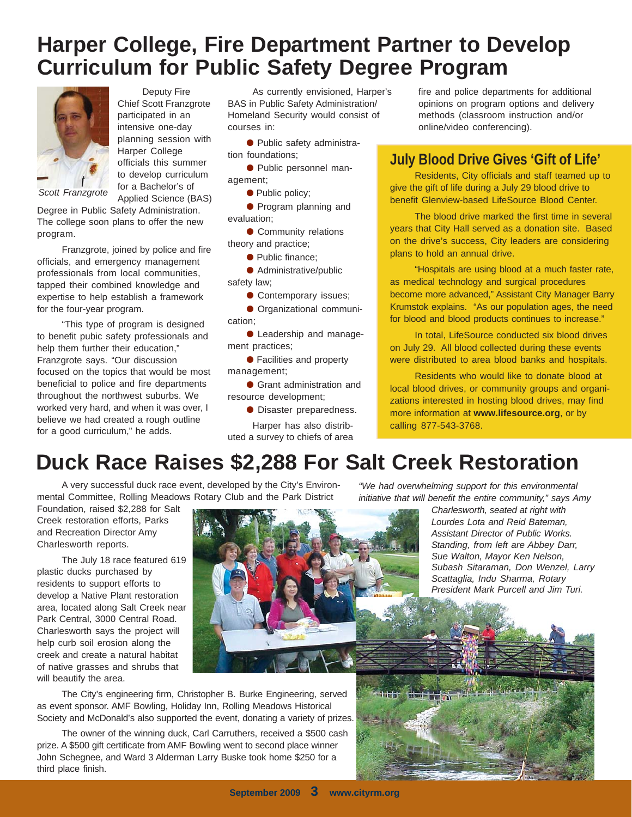### **Harper College, Fire Department Partner to Develop Curriculum for Public Safety Degree Program**



Deputy Fire Chief Scott Franzgrote participated in an intensive one-day planning session with Harper College officials this summer to develop curriculum for a Bachelor's of Applied Science (BAS)

*Scott Franzgrote*

Degree in Public Safety Administration. The college soon plans to offer the new program.

Franzgrote, joined by police and fire officials, and emergency management professionals from local communities, tapped their combined knowledge and expertise to help establish a framework for the four-year program.

"This type of program is designed to benefit pubic safety professionals and help them further their education," Franzgrote says. "Our discussion focused on the topics that would be most beneficial to police and fire departments throughout the northwest suburbs. We worked very hard, and when it was over, I believe we had created a rough outline for a good curriculum," he adds.

As currently envisioned, Harper's BAS in Public Safety Administration/ Homeland Security would consist of courses in:

● Public safety administration foundations;

● Public personnel management;

● Public policy;

● Program planning and evaluation;

● Community relations theory and practice;

● Public finance;

● Administrative/public safety law;

● Contemporary issues;

● Organizational communication;

● Leadership and management practices;

● Facilities and property management;

● Grant administration and resource development;

● Disaster preparedness.

Harper has also distributed a survey to chiefs of area fire and police departments for additional opinions on program options and delivery methods (classroom instruction and/or online/video conferencing).

### **July Blood Drive Gives 'Gift of Life'**

Residents, City officials and staff teamed up to give the gift of life during a July 29 blood drive to benefit Glenview-based LifeSource Blood Center.

The blood drive marked the first time in several years that City Hall served as a donation site. Based on the drive's success, City leaders are considering plans to hold an annual drive.

"Hospitals are using blood at a much faster rate, as medical technology and surgical procedures become more advanced," Assistant City Manager Barry Krumstok explains. "As our population ages, the need for blood and blood products continues to increase."

In total, LifeSource conducted six blood drives on July 29. All blood collected during these events were distributed to area blood banks and hospitals.

Residents who would like to donate blood at local blood drives, or community groups and organizations interested in hosting blood drives, may find more information at **www.lifesource.org**, or by calling 877-543-3768.

# **Duck Race Raises \$2,288 For Salt Creek Restoration**

A very successful duck race event, developed by the City's Environmental Committee, Rolling Meadows Rotary Club and the Park District

Foundation, raised \$2,288 for Salt Creek restoration efforts, Parks and Recreation Director Amy Charlesworth reports.

The July 18 race featured 619 plastic ducks purchased by residents to support efforts to develop a Native Plant restoration area, located along Salt Creek near Park Central, 3000 Central Road. Charlesworth says the project will help curb soil erosion along the creek and create a natural habitat of native grasses and shrubs that will beautify the area.



The City's engineering firm, Christopher B. Burke Engineering, served as event sponsor. AMF Bowling, Holiday Inn, Rolling Meadows Historical Society and McDonald's also supported the event, donating a variety of prizes.

The owner of the winning duck, Carl Carruthers, received a \$500 cash prize. A \$500 gift certificate from AMF Bowling went to second place winner John Schegnee, and Ward 3 Alderman Larry Buske took home \$250 for a third place finish.

*"We had overwhelming support for this environmental initiative that will benefit the entire community," says Amy*

*Charlesworth, seated at right with Lourdes Lota and Reid Bateman, Assistant Director of Public Works. Standing, from left are Abbey Darr, Sue Walton, Mayor Ken Nelson, Subash Sitaraman, Don Wenzel, Larry Scattaglia, Indu Sharma, Rotary President Mark Purcell and Jim Turi.*

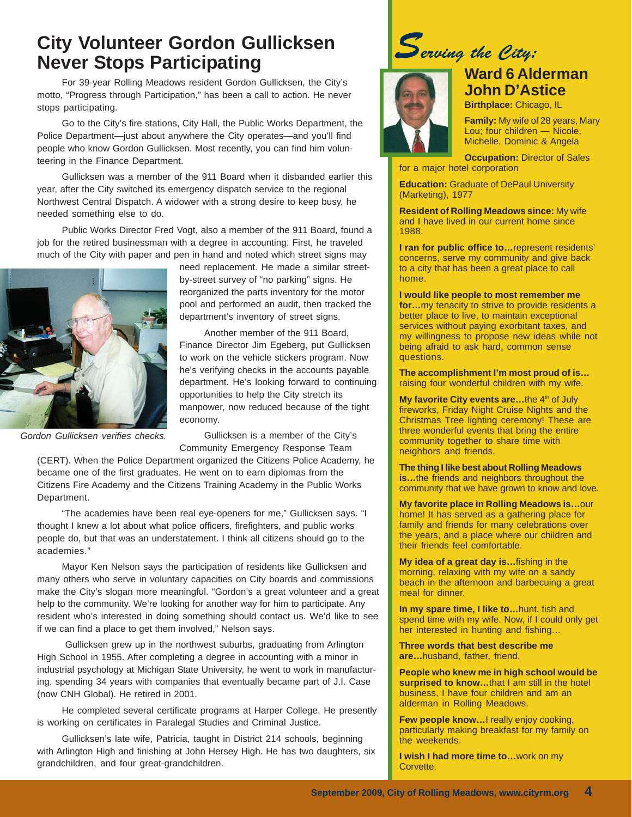### **City Volunteer Gordon Gullicksen Never Stops Participating**

For 39-year Rolling Meadows resident Gordon Gullicksen, the City's motto, "Progress through Participation," has been a call to action. He never stops participating.

Go to the City's fire stations, City Hall, the Public Works Department, the Police Department—just about anywhere the City operates—and you'll find people who know Gordon Gullicksen. Most recently, you can find him volunteering in the Finance Department.

Gullicksen was a member of the 911 Board when it disbanded earlier this year, after the City switched its emergency dispatch service to the regional Northwest Central Dispatch. A widower with a strong desire to keep busy, he needed something else to do.

Public Works Director Fred Vogt, also a member of the 911 Board, found a job for the retired businessman with a degree in accounting. First, he traveled much of the City with paper and pen in hand and noted which street signs may



need replacement. He made a similar streetby-street survey of "no parking" signs. He reorganized the parts inventory for the motor pool and performed an audit, then tracked the department's inventory of street signs.

Another member of the 911 Board, Finance Director Jim Egeberg, put Gullicksen to work on the vehicle stickers program. Now he's verifying checks in the accounts payable department. He's looking forward to continuing opportunities to help the City stretch its manpower, now reduced because of the tight economy.

*Gordon Gullicksen verifies checks.*

Gullicksen is a member of the City's Community Emergency Response Team

(CERT). When the Police Department organized the Citizens Police Academy, he became one of the first graduates. He went on to earn diplomas from the Citizens Fire Academy and the Citizens Training Academy in the Public Works Department.

"The academies have been real eye-openers for me," Gullicksen says. "I thought I knew a lot about what police officers, firefighters, and public works people do, but that was an understatement. I think all citizens should go to the academies."

Mayor Ken Nelson says the participation of residents like Gullicksen and many others who serve in voluntary capacities on City boards and commissions make the City's slogan more meaningful. "Gordon's a great volunteer and a great help to the community. We're looking for another way for him to participate. Any resident who's interested in doing something should contact us. We'd like to see if we can find a place to get them involved," Nelson says.

 Gullicksen grew up in the northwest suburbs, graduating from Arlington High School in 1955. After completing a degree in accounting with a minor in industrial psychology at Michigan State University, he went to work in manufacturing, spending 34 years with companies that eventually became part of J.I. Case (now CNH Global). He retired in 2001.

He completed several certificate programs at Harper College. He presently is working on certificates in Paralegal Studies and Criminal Justice.

Gullicksen's late wife, Patricia, taught in District 214 schools, beginning with Arlington High and finishing at John Hersey High. He has two daughters, six grandchildren, and four great-grandchildren.

*Serving the City:*



### **Ward 6 Alderman John D'Astice**

**Birthplace:** Chicago, IL

**Family:** My wife of 28 years, Mary Lou; four children — Nicole, Michelle, Dominic & Angela

**Occupation: Director of Sales** for a major hotel corporation

**Education:** Graduate of DePaul University (Marketing), 1977

**Resident of Rolling Meadows since:** My wife and I have lived in our current home since 1988.

**I ran for public office to…**represent residents' concerns, serve my community and give back to a city that has been a great place to call home.

**I would like people to most remember me for…**my tenacity to strive to provide residents a better place to live, to maintain exceptional services without paying exorbitant taxes, and my willingness to propose new ideas while not being afraid to ask hard, common sense questions.

**The accomplishment I'm most proud of is…** raising four wonderful children with my wife.

**My favorite City events are...the 4<sup>th</sup> of July** fireworks, Friday Night Cruise Nights and the Christmas Tree lighting ceremony! These are three wonderful events that bring the entire community together to share time with neighbors and friends.

**The thing I like best about Rolling Meadows is…**the friends and neighbors throughout the community that we have grown to know and love.

**My favorite place in Rolling Meadows is…**our home! It has served as a gathering place for family and friends for many celebrations over the years, and a place where our children and their friends feel comfortable.

**My idea of a great day is…**fishing in the morning, relaxing with my wife on a sandy beach in the afternoon and barbecuing a great meal for dinner.

**In my spare time, I like to…**hunt, fish and spend time with my wife. Now, if I could only get her interested in hunting and fishing…

**Three words that best describe me are…**husband, father, friend.

**People who knew me in high school would be surprised to know…**that I am still in the hotel business, I have four children and am an alderman in Rolling Meadows.

**Few people know…**I really enjoy cooking, particularly making breakfast for my family on the weekends.

**I wish I had more time to…**work on my Corvette.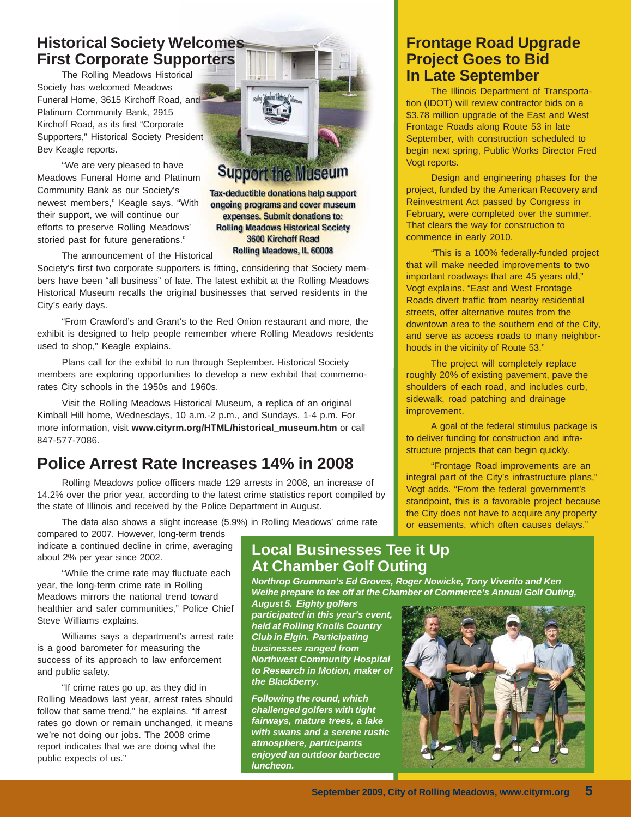### **Historical Society Welcomes First Corporate Supporters**

The Rolling Meadows Historical Society has welcomed Meadows Funeral Home, 3615 Kirchoff Road, and Platinum Community Bank, 2915 Kirchoff Road, as its first "Corporate Supporters," Historical Society President Bev Keagle reports.

"We are very pleased to have Meadows Funeral Home and Platinum Community Bank as our Society's newest members," Keagle says. "With their support, we will continue our efforts to preserve Rolling Meadows' storied past for future generations."

The announcement of the Historical

Society's first two corporate supporters is fitting, considering that Society members have been "all business" of late. The latest exhibit at the Rolling Meadows Historical Museum recalls the original businesses that served residents in the City's early days.

"From Crawford's and Grant's to the Red Onion restaurant and more, the exhibit is designed to help people remember where Rolling Meadows residents used to shop," Keagle explains.

Plans call for the exhibit to run through September. Historical Society members are exploring opportunities to develop a new exhibit that commemorates City schools in the 1950s and 1960s.

Visit the Rolling Meadows Historical Museum, a replica of an original Kimball Hill home, Wednesdays, 10 a.m.-2 p.m., and Sundays, 1-4 p.m. For more information, visit **www.cityrm.org/HTML/historical\_museum.htm** or call 847-577-7086.

### **Police Arrest Rate Increases 14% in 2008**

Rolling Meadows police officers made 129 arrests in 2008, an increase of 14.2% over the prior year, according to the latest crime statistics report compiled by the state of Illinois and received by the Police Department in August.

The data also shows a slight increase (5.9%) in Rolling Meadows' crime rate

compared to 2007. However, long-term trends indicate a continued decline in crime, averaging about 2% per year since 2002.

"While the crime rate may fluctuate each year, the long-term crime rate in Rolling Meadows mirrors the national trend toward healthier and safer communities," Police Chief Steve Williams explains.

Williams says a department's arrest rate is a good barometer for measuring the success of its approach to law enforcement and public safety.

"If crime rates go up, as they did in Rolling Meadows last year, arrest rates should follow that same trend," he explains. "If arrest rates go down or remain unchanged, it means we're not doing our jobs. The 2008 crime report indicates that we are doing what the public expects of us."

### **Local Businesses Tee it Up At Chamber Golf Outing**

*Northrop Grumman's Ed Groves, Roger Nowicke, Tony Viverito and Ken Weihe prepare to tee off at the Chamber of Commerce's Annual Golf Outing,*

*August 5. Eighty golfers participated in this year's event, held at Rolling Knolls Country Club in Elgin. Participating businesses ranged from Northwest Community Hospital to Research in Motion, maker of the Blackberry.*

*Following the round, which challenged golfers with tight fairways, mature trees, a lake with swans and a serene rustic atmosphere, participants enjoyed an outdoor barbecue luncheon.*

#### **Frontage Road Upgrade Project Goes to Bid In Late September**

The Illinois Department of Transportation (IDOT) will review contractor bids on a \$3.78 million upgrade of the East and West Frontage Roads along Route 53 in late September, with construction scheduled to begin next spring, Public Works Director Fred Vogt reports.

Design and engineering phases for the project, funded by the American Recovery and Reinvestment Act passed by Congress in February, were completed over the summer. That clears the way for construction to commence in early 2010.

"This is a 100% federally-funded project that will make needed improvements to two important roadways that are 45 years old," Vogt explains. "East and West Frontage Roads divert traffic from nearby residential streets, offer alternative routes from the downtown area to the southern end of the City, and serve as access roads to many neighborhoods in the vicinity of Route 53."

The project will completely replace roughly 20% of existing pavement, pave the shoulders of each road, and includes curb, sidewalk, road patching and drainage improvement.

A goal of the federal stimulus package is to deliver funding for construction and infrastructure projects that can begin quickly.

"Frontage Road improvements are an integral part of the City's infrastructure plans," Vogt adds. "From the federal government's standpoint, this is a favorable project because the City does not have to acquire any property or easements, which often causes delays."





ongoing programs and cover museum expenses. Submit donations to: **Rolling Meadows Historical Society** 3600 Kirchoff Road Rolling Meadows, IL 60008